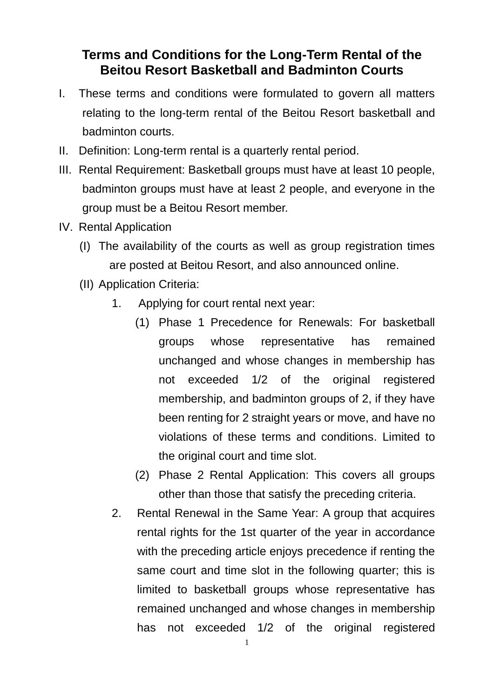## **Terms and Conditions for the Long-Term Rental of the Beitou Resort Basketball and Badminton Courts**

- I. These terms and conditions were formulated to govern all matters relating to the long-term rental of the Beitou Resort basketball and badminton courts.
- II. Definition: Long-term rental is a quarterly rental period.
- III. Rental Requirement: Basketball groups must have at least 10 people, badminton groups must have at least 2 people, and everyone in the group must be a Beitou Resort member.
- IV. Rental Application
	- (I) The availability of the courts as well as group registration times are posted at Beitou Resort, and also announced online.
	- (II) Application Criteria:
		- 1. Applying for court rental next year:
			- (1) Phase 1 Precedence for Renewals: For basketball groups whose representative has remained unchanged and whose changes in membership has not exceeded 1/2 of the original registered membership, and badminton groups of 2, if they have been renting for 2 straight years or move, and have no violations of these terms and conditions. Limited to the original court and time slot.
			- (2) Phase 2 Rental Application: This covers all groups other than those that satisfy the preceding criteria.
		- 2. Rental Renewal in the Same Year: A group that acquires rental rights for the 1st quarter of the year in accordance with the preceding article enjoys precedence if renting the same court and time slot in the following quarter; this is limited to basketball groups whose representative has remained unchanged and whose changes in membership has not exceeded 1/2 of the original registered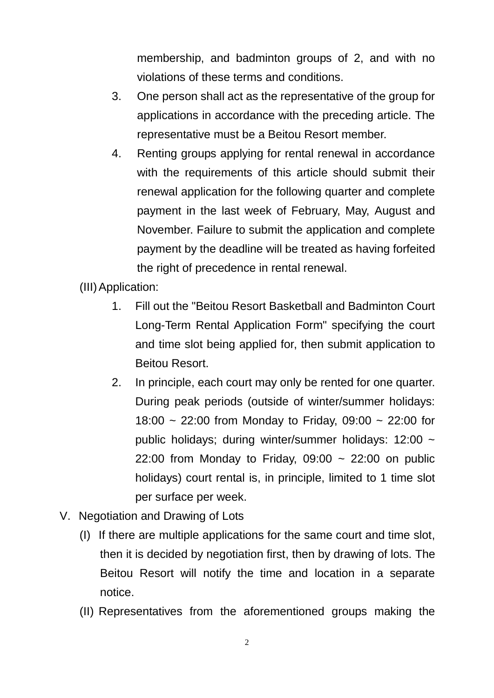membership, and badminton groups of 2, and with no violations of these terms and conditions.

- 3. One person shall act as the representative of the group for applications in accordance with the preceding article. The representative must be a Beitou Resort member.
- 4. Renting groups applying for rental renewal in accordance with the requirements of this article should submit their renewal application for the following quarter and complete payment in the last week of February, May, August and November. Failure to submit the application and complete payment by the deadline will be treated as having forfeited the right of precedence in rental renewal.

(III)Application:

- 1. Fill out the "Beitou Resort Basketball and Badminton Court Long-Term Rental Application Form" specifying the court and time slot being applied for, then submit application to Beitou Resort.
- 2. In principle, each court may only be rented for one quarter. During peak periods (outside of winter/summer holidays: 18:00 ~ 22:00 from Monday to Friday, 09:00 ~ 22:00 for public holidays; during winter/summer holidays: 12:00 ~ 22:00 from Monday to Friday,  $09:00 \sim 22:00$  on public holidays) court rental is, in principle, limited to 1 time slot per surface per week.
- V. Negotiation and Drawing of Lots
	- (I) If there are multiple applications for the same court and time slot, then it is decided by negotiation first, then by drawing of lots. The Beitou Resort will notify the time and location in a separate notice.
	- (II) Representatives from the aforementioned groups making the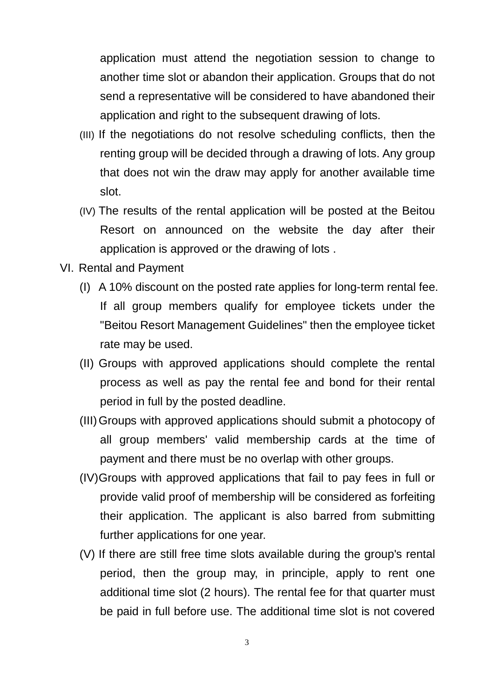application must attend the negotiation session to change to another time slot or abandon their application. Groups that do not send a representative will be considered to have abandoned their application and right to the subsequent drawing of lots.

- (III) If the negotiations do not resolve scheduling conflicts, then the renting group will be decided through a drawing of lots. Any group that does not win the draw may apply for another available time slot.
- (IV) The results of the rental application will be posted at the Beitou Resort on announced on the website the day after their application is approved or the drawing of lots .
- VI. Rental and Payment
	- (I) A 10% discount on the posted rate applies for long-term rental fee. If all group members qualify for employee tickets under the "Beitou Resort Management Guidelines" then the employee ticket rate may be used.
	- (II) Groups with approved applications should complete the rental process as well as pay the rental fee and bond for their rental period in full by the posted deadline.
	- (III)Groups with approved applications should submit a photocopy of all group members' valid membership cards at the time of payment and there must be no overlap with other groups.
	- (IV)Groups with approved applications that fail to pay fees in full or provide valid proof of membership will be considered as forfeiting their application. The applicant is also barred from submitting further applications for one year.
	- (V) If there are still free time slots available during the group's rental period, then the group may, in principle, apply to rent one additional time slot (2 hours). The rental fee for that quarter must be paid in full before use. The additional time slot is not covered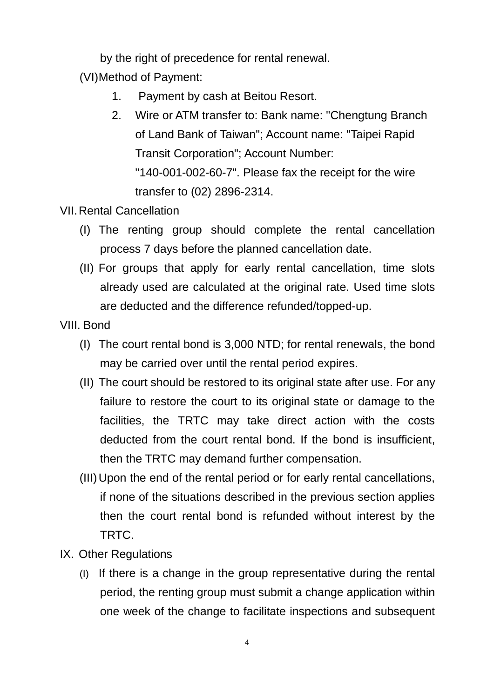by the right of precedence for rental renewal.

(VI)Method of Payment:

- 1. Payment by cash at Beitou Resort.
- 2. Wire or ATM transfer to: Bank name: "Chengtung Branch of Land Bank of Taiwan"; Account name: "Taipei Rapid Transit Corporation"; Account Number: "140-001-002-60-7". Please fax the receipt for the wire transfer to (02) 2896-2314.
- VII.Rental Cancellation
	- (I) The renting group should complete the rental cancellation process 7 days before the planned cancellation date.
	- (II) For groups that apply for early rental cancellation, time slots already used are calculated at the original rate. Used time slots are deducted and the difference refunded/topped-up.
- VIII. Bond
	- (I) The court rental bond is 3,000 NTD; for rental renewals, the bond may be carried over until the rental period expires.
	- (II) The court should be restored to its original state after use. For any failure to restore the court to its original state or damage to the facilities, the TRTC may take direct action with the costs deducted from the court rental bond. If the bond is insufficient, then the TRTC may demand further compensation.
	- (III)Upon the end of the rental period or for early rental cancellations, if none of the situations described in the previous section applies then the court rental bond is refunded without interest by the TRTC.
- IX. Other Regulations
	- (I) If there is a change in the group representative during the rental period, the renting group must submit a change application within one week of the change to facilitate inspections and subsequent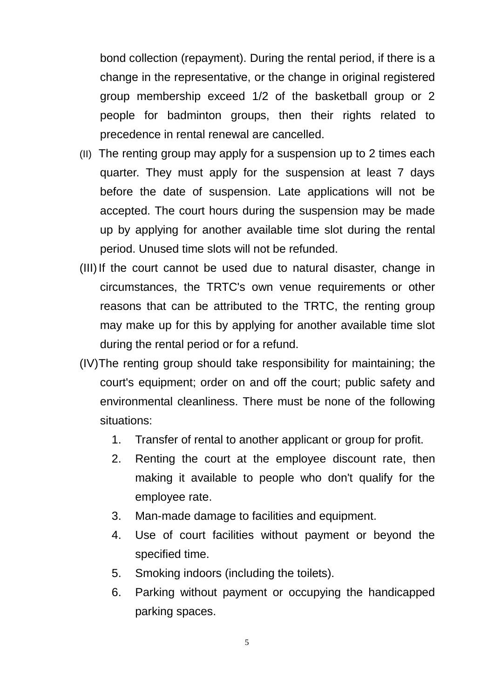bond collection (repayment). During the rental period, if there is a change in the representative, or the change in original registered group membership exceed 1/2 of the basketball group or 2 people for badminton groups, then their rights related to precedence in rental renewal are cancelled.

- (II) The renting group may apply for a suspension up to 2 times each quarter. They must apply for the suspension at least 7 days before the date of suspension. Late applications will not be accepted. The court hours during the suspension may be made up by applying for another available time slot during the rental period. Unused time slots will not be refunded.
- (III) If the court cannot be used due to natural disaster, change in circumstances, the TRTC's own venue requirements or other reasons that can be attributed to the TRTC, the renting group may make up for this by applying for another available time slot during the rental period or for a refund.
- (IV)The renting group should take responsibility for maintaining; the court's equipment; order on and off the court; public safety and environmental cleanliness. There must be none of the following situations:
	- 1. Transfer of rental to another applicant or group for profit.
	- 2. Renting the court at the employee discount rate, then making it available to people who don't qualify for the employee rate.
	- 3. Man-made damage to facilities and equipment.
	- 4. Use of court facilities without payment or beyond the specified time.
	- 5. Smoking indoors (including the toilets).
	- 6. Parking without payment or occupying the handicapped parking spaces.